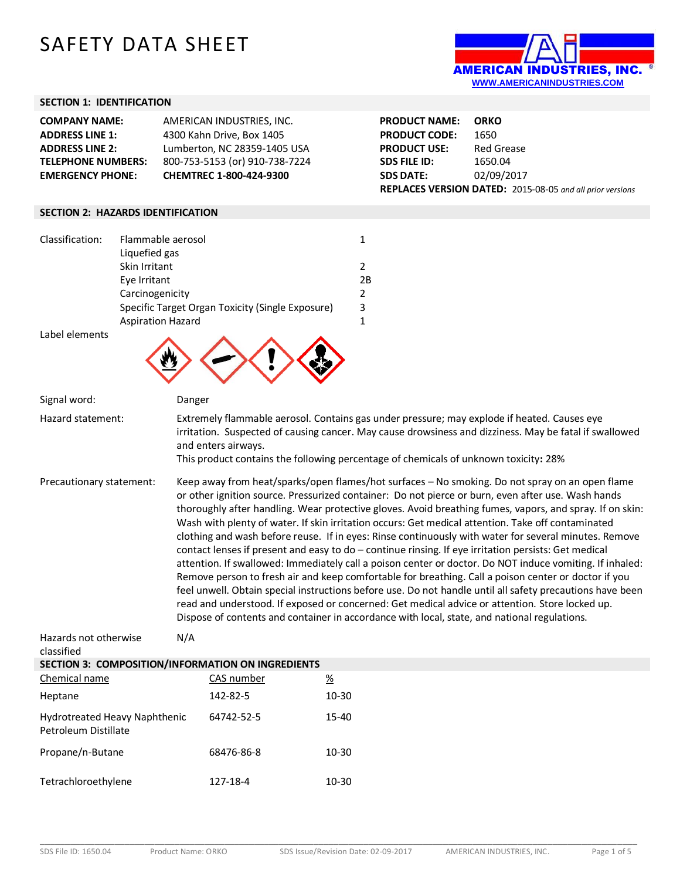## SAFETY DATA SHEET



## **SECTION 1: IDENTIFICATION**

| <b>COMPANY NAME:</b>      | AMERICAN INDUSTRIES. INC.      | <b>PRODUCT NAME:</b> | <b>ORKO</b>                                                      |
|---------------------------|--------------------------------|----------------------|------------------------------------------------------------------|
| <b>ADDRESS LINE 1:</b>    | 4300 Kahn Drive, Box 1405      | <b>PRODUCT CODE:</b> | 1650                                                             |
| <b>ADDRESS LINE 2:</b>    | Lumberton, NC 28359-1405 USA   | <b>PRODUCT USE:</b>  | Red Grease                                                       |
| <b>TELEPHONE NUMBERS:</b> | 800-753-5153 (or) 910-738-7224 | <b>SDS FILE ID:</b>  | 1650.04                                                          |
| <b>EMERGENCY PHONE:</b>   | <b>CHEMTREC 1-800-424-9300</b> | <b>SDS DATE:</b>     | 02/09/2017                                                       |
|                           |                                |                      | <b>REPLACES VERSION DATED:</b> 2015-08-05 and all prior versions |

## **SECTION 2: HAZARDS IDENTIFICATION**

| Classification: | Flammable aerosol                                |    |
|-----------------|--------------------------------------------------|----|
|                 | Liquefied gas                                    |    |
|                 | Skin Irritant                                    |    |
|                 | Eye Irritant                                     | 2B |
|                 | Carcinogenicity                                  |    |
|                 | Specific Target Organ Toxicity (Single Exposure) | 3  |
|                 | <b>Aspiration Hazard</b>                         |    |
| Label elements  |                                                  |    |



| くク                                                                               |                     |                                                                                                                                                                                                                                                                                                                                                                                                                                                                                                                                                                                                                                                                                                                                                                                                                                                                                                                                                                                                                                                                                                                                                                              |  |
|----------------------------------------------------------------------------------|---------------------|------------------------------------------------------------------------------------------------------------------------------------------------------------------------------------------------------------------------------------------------------------------------------------------------------------------------------------------------------------------------------------------------------------------------------------------------------------------------------------------------------------------------------------------------------------------------------------------------------------------------------------------------------------------------------------------------------------------------------------------------------------------------------------------------------------------------------------------------------------------------------------------------------------------------------------------------------------------------------------------------------------------------------------------------------------------------------------------------------------------------------------------------------------------------------|--|
| Signal word:                                                                     | Danger              |                                                                                                                                                                                                                                                                                                                                                                                                                                                                                                                                                                                                                                                                                                                                                                                                                                                                                                                                                                                                                                                                                                                                                                              |  |
| Hazard statement:                                                                | and enters airways. | Extremely flammable aerosol. Contains gas under pressure; may explode if heated. Causes eye<br>irritation. Suspected of causing cancer. May cause drowsiness and dizziness. May be fatal if swallowed<br>This product contains the following percentage of chemicals of unknown toxicity: 28%                                                                                                                                                                                                                                                                                                                                                                                                                                                                                                                                                                                                                                                                                                                                                                                                                                                                                |  |
| Precautionary statement:                                                         |                     | Keep away from heat/sparks/open flames/hot surfaces - No smoking. Do not spray on an open flame<br>or other ignition source. Pressurized container: Do not pierce or burn, even after use. Wash hands<br>thoroughly after handling. Wear protective gloves. Avoid breathing fumes, vapors, and spray. If on skin:<br>Wash with plenty of water. If skin irritation occurs: Get medical attention. Take off contaminated<br>clothing and wash before reuse. If in eyes: Rinse continuously with water for several minutes. Remove<br>contact lenses if present and easy to do - continue rinsing. If eye irritation persists: Get medical<br>attention. If swallowed: Immediately call a poison center or doctor. Do NOT induce vomiting. If inhaled:<br>Remove person to fresh air and keep comfortable for breathing. Call a poison center or doctor if you<br>feel unwell. Obtain special instructions before use. Do not handle until all safety precautions have been<br>read and understood. If exposed or concerned: Get medical advice or attention. Store locked up.<br>Dispose of contents and container in accordance with local, state, and national regulations. |  |
| Hazards not otherwise<br>classified                                              | N/A                 |                                                                                                                                                                                                                                                                                                                                                                                                                                                                                                                                                                                                                                                                                                                                                                                                                                                                                                                                                                                                                                                                                                                                                                              |  |
| SECTION 3: COMPOSITION/INFORMATION ON INGREDIENTS                                |                     |                                                                                                                                                                                                                                                                                                                                                                                                                                                                                                                                                                                                                                                                                                                                                                                                                                                                                                                                                                                                                                                                                                                                                                              |  |
| Chemical name                                                                    | CAS number          | $\underline{\%}$                                                                                                                                                                                                                                                                                                                                                                                                                                                                                                                                                                                                                                                                                                                                                                                                                                                                                                                                                                                                                                                                                                                                                             |  |
| Heptane                                                                          | 142-82-5            | $10 - 30$                                                                                                                                                                                                                                                                                                                                                                                                                                                                                                                                                                                                                                                                                                                                                                                                                                                                                                                                                                                                                                                                                                                                                                    |  |
| Hydrotreated Heavy Naphthenic<br>64742-52-5<br>$15 - 40$<br>Petroleum Distillate |                     |                                                                                                                                                                                                                                                                                                                                                                                                                                                                                                                                                                                                                                                                                                                                                                                                                                                                                                                                                                                                                                                                                                                                                                              |  |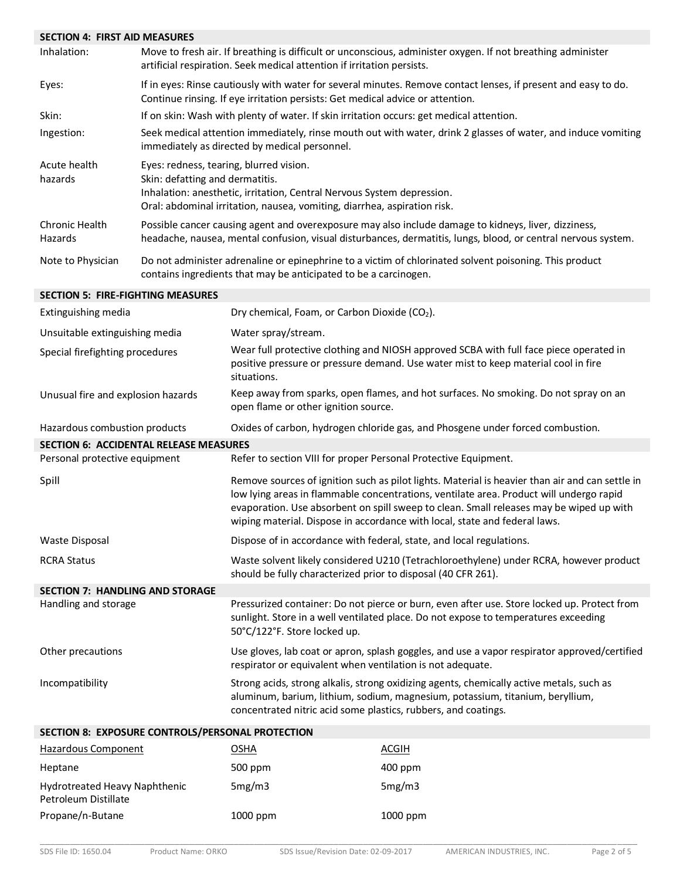| <b>SECTION 4: FIRST AID MEASURES</b>             |                                                                                                                                                                                                                                  |                                                                                                                                                                                                                                                                                                                                                                     |                                                                                                                                                                                                                       |  |
|--------------------------------------------------|----------------------------------------------------------------------------------------------------------------------------------------------------------------------------------------------------------------------------------|---------------------------------------------------------------------------------------------------------------------------------------------------------------------------------------------------------------------------------------------------------------------------------------------------------------------------------------------------------------------|-----------------------------------------------------------------------------------------------------------------------------------------------------------------------------------------------------------------------|--|
| Inhalation:                                      | Move to fresh air. If breathing is difficult or unconscious, administer oxygen. If not breathing administer<br>artificial respiration. Seek medical attention if irritation persists.                                            |                                                                                                                                                                                                                                                                                                                                                                     |                                                                                                                                                                                                                       |  |
| Eyes:                                            |                                                                                                                                                                                                                                  | Continue rinsing. If eye irritation persists: Get medical advice or attention.                                                                                                                                                                                                                                                                                      | If in eyes: Rinse cautiously with water for several minutes. Remove contact lenses, if present and easy to do.                                                                                                        |  |
| Skin:                                            |                                                                                                                                                                                                                                  | If on skin: Wash with plenty of water. If skin irritation occurs: get medical attention.                                                                                                                                                                                                                                                                            |                                                                                                                                                                                                                       |  |
| Ingestion:                                       |                                                                                                                                                                                                                                  | Seek medical attention immediately, rinse mouth out with water, drink 2 glasses of water, and induce vomiting<br>immediately as directed by medical personnel.                                                                                                                                                                                                      |                                                                                                                                                                                                                       |  |
| Acute health<br>hazards                          | Eyes: redness, tearing, blurred vision.<br>Skin: defatting and dermatitis.<br>Inhalation: anesthetic, irritation, Central Nervous System depression.<br>Oral: abdominal irritation, nausea, vomiting, diarrhea, aspiration risk. |                                                                                                                                                                                                                                                                                                                                                                     |                                                                                                                                                                                                                       |  |
| <b>Chronic Health</b><br>Hazards                 |                                                                                                                                                                                                                                  |                                                                                                                                                                                                                                                                                                                                                                     | Possible cancer causing agent and overexposure may also include damage to kidneys, liver, dizziness,<br>headache, nausea, mental confusion, visual disturbances, dermatitis, lungs, blood, or central nervous system. |  |
| Note to Physician                                |                                                                                                                                                                                                                                  | Do not administer adrenaline or epinephrine to a victim of chlorinated solvent poisoning. This product<br>contains ingredients that may be anticipated to be a carcinogen.                                                                                                                                                                                          |                                                                                                                                                                                                                       |  |
| <b>SECTION 5: FIRE-FIGHTING MEASURES</b>         |                                                                                                                                                                                                                                  |                                                                                                                                                                                                                                                                                                                                                                     |                                                                                                                                                                                                                       |  |
| Extinguishing media                              |                                                                                                                                                                                                                                  | Dry chemical, Foam, or Carbon Dioxide (CO2).                                                                                                                                                                                                                                                                                                                        |                                                                                                                                                                                                                       |  |
| Unsuitable extinguishing media                   |                                                                                                                                                                                                                                  | Water spray/stream.                                                                                                                                                                                                                                                                                                                                                 |                                                                                                                                                                                                                       |  |
| Special firefighting procedures                  |                                                                                                                                                                                                                                  | Wear full protective clothing and NIOSH approved SCBA with full face piece operated in<br>positive pressure or pressure demand. Use water mist to keep material cool in fire<br>situations.                                                                                                                                                                         |                                                                                                                                                                                                                       |  |
| Unusual fire and explosion hazards               |                                                                                                                                                                                                                                  | Keep away from sparks, open flames, and hot surfaces. No smoking. Do not spray on an<br>open flame or other ignition source.                                                                                                                                                                                                                                        |                                                                                                                                                                                                                       |  |
| Hazardous combustion products                    |                                                                                                                                                                                                                                  | Oxides of carbon, hydrogen chloride gas, and Phosgene under forced combustion.                                                                                                                                                                                                                                                                                      |                                                                                                                                                                                                                       |  |
| <b>SECTION 6: ACCIDENTAL RELEASE MEASURES</b>    |                                                                                                                                                                                                                                  |                                                                                                                                                                                                                                                                                                                                                                     |                                                                                                                                                                                                                       |  |
| Personal protective equipment                    |                                                                                                                                                                                                                                  | Refer to section VIII for proper Personal Protective Equipment.                                                                                                                                                                                                                                                                                                     |                                                                                                                                                                                                                       |  |
| Spill                                            |                                                                                                                                                                                                                                  | Remove sources of ignition such as pilot lights. Material is heavier than air and can settle in<br>low lying areas in flammable concentrations, ventilate area. Product will undergo rapid<br>evaporation. Use absorbent on spill sweep to clean. Small releases may be wiped up with<br>wiping material. Dispose in accordance with local, state and federal laws. |                                                                                                                                                                                                                       |  |
| <b>Waste Disposal</b>                            |                                                                                                                                                                                                                                  |                                                                                                                                                                                                                                                                                                                                                                     | Dispose of in accordance with federal, state, and local regulations.                                                                                                                                                  |  |
| <b>RCRA Status</b>                               |                                                                                                                                                                                                                                  | Waste solvent likely considered U210 (Tetrachloroethylene) under RCRA, however product<br>should be fully characterized prior to disposal (40 CFR 261).                                                                                                                                                                                                             |                                                                                                                                                                                                                       |  |
| <b>SECTION 7: HANDLING AND STORAGE</b>           |                                                                                                                                                                                                                                  |                                                                                                                                                                                                                                                                                                                                                                     |                                                                                                                                                                                                                       |  |
| Handling and storage                             |                                                                                                                                                                                                                                  | Pressurized container: Do not pierce or burn, even after use. Store locked up. Protect from<br>sunlight. Store in a well ventilated place. Do not expose to temperatures exceeding<br>50°C/122°F. Store locked up.                                                                                                                                                  |                                                                                                                                                                                                                       |  |
| Other precautions                                |                                                                                                                                                                                                                                  | Use gloves, lab coat or apron, splash goggles, and use a vapor respirator approved/certified<br>respirator or equivalent when ventilation is not adequate.                                                                                                                                                                                                          |                                                                                                                                                                                                                       |  |
| Incompatibility                                  |                                                                                                                                                                                                                                  | Strong acids, strong alkalis, strong oxidizing agents, chemically active metals, such as<br>aluminum, barium, lithium, sodium, magnesium, potassium, titanium, beryllium,<br>concentrated nitric acid some plastics, rubbers, and coatings.                                                                                                                         |                                                                                                                                                                                                                       |  |
| SECTION 8: EXPOSURE CONTROLS/PERSONAL PROTECTION |                                                                                                                                                                                                                                  |                                                                                                                                                                                                                                                                                                                                                                     |                                                                                                                                                                                                                       |  |
| <b>Hazardous Component</b>                       |                                                                                                                                                                                                                                  | <b>OSHA</b>                                                                                                                                                                                                                                                                                                                                                         | <b>ACGIH</b>                                                                                                                                                                                                          |  |
| Heptane                                          |                                                                                                                                                                                                                                  | 500 ppm                                                                                                                                                                                                                                                                                                                                                             | 400 ppm                                                                                                                                                                                                               |  |
| Hydrotreated Heavy Naphthenic                    |                                                                                                                                                                                                                                  | 5mg/m3                                                                                                                                                                                                                                                                                                                                                              | 5mg/m3                                                                                                                                                                                                                |  |

Petroleum Distillate

Propane/n-Butane 1000 ppm 1000 ppm 1000 ppm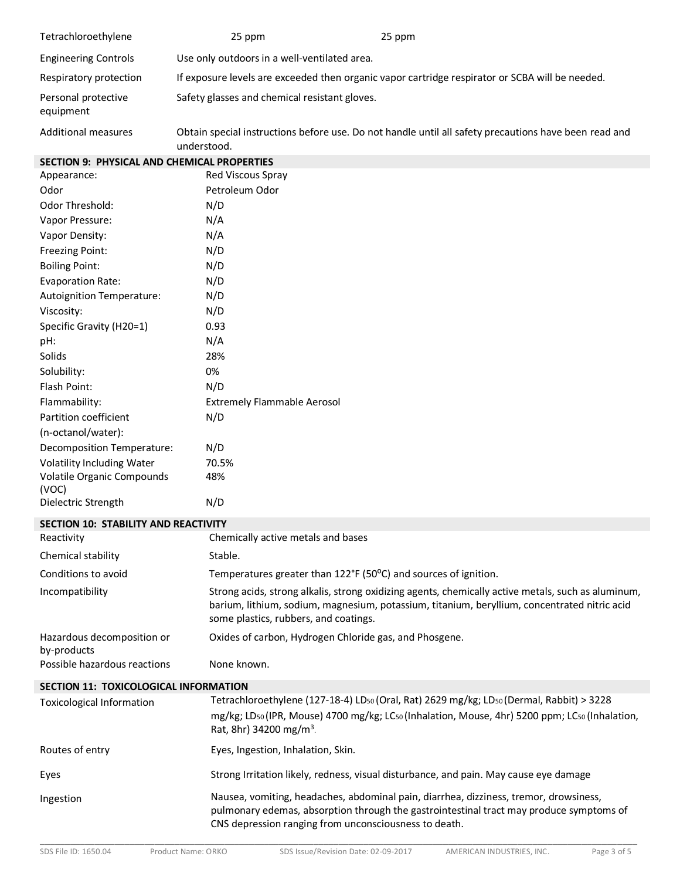| Tetrachloroethylene                                | 25 ppm                                                 | 25 ppm                                                                                                                                                                                             |
|----------------------------------------------------|--------------------------------------------------------|----------------------------------------------------------------------------------------------------------------------------------------------------------------------------------------------------|
| <b>Engineering Controls</b>                        | Use only outdoors in a well-ventilated area.           |                                                                                                                                                                                                    |
| Respiratory protection                             |                                                        | If exposure levels are exceeded then organic vapor cartridge respirator or SCBA will be needed.                                                                                                    |
| Personal protective<br>equipment                   | Safety glasses and chemical resistant gloves.          |                                                                                                                                                                                                    |
| <b>Additional measures</b>                         | understood.                                            | Obtain special instructions before use. Do not handle until all safety precautions have been read and                                                                                              |
| <b>SECTION 9: PHYSICAL AND CHEMICAL PROPERTIES</b> |                                                        |                                                                                                                                                                                                    |
| Appearance:                                        | Red Viscous Spray                                      |                                                                                                                                                                                                    |
| Odor                                               | Petroleum Odor                                         |                                                                                                                                                                                                    |
| Odor Threshold:                                    | N/D                                                    |                                                                                                                                                                                                    |
| Vapor Pressure:                                    | N/A                                                    |                                                                                                                                                                                                    |
| Vapor Density:                                     | N/A                                                    |                                                                                                                                                                                                    |
| <b>Freezing Point:</b>                             | N/D                                                    |                                                                                                                                                                                                    |
| <b>Boiling Point:</b>                              | N/D                                                    |                                                                                                                                                                                                    |
| <b>Evaporation Rate:</b>                           | N/D                                                    |                                                                                                                                                                                                    |
| Autoignition Temperature:                          | N/D                                                    |                                                                                                                                                                                                    |
| Viscosity:                                         | N/D                                                    |                                                                                                                                                                                                    |
| Specific Gravity (H20=1)                           | 0.93                                                   |                                                                                                                                                                                                    |
| pH:                                                | N/A                                                    |                                                                                                                                                                                                    |
| Solids                                             | 28%                                                    |                                                                                                                                                                                                    |
| Solubility:                                        | 0%                                                     |                                                                                                                                                                                                    |
| Flash Point:                                       | N/D                                                    |                                                                                                                                                                                                    |
| Flammability:                                      | <b>Extremely Flammable Aerosol</b>                     |                                                                                                                                                                                                    |
| Partition coefficient                              | N/D                                                    |                                                                                                                                                                                                    |
| (n-octanol/water):                                 |                                                        |                                                                                                                                                                                                    |
| Decomposition Temperature:                         | N/D                                                    |                                                                                                                                                                                                    |
| Volatility Including Water                         | 70.5%                                                  |                                                                                                                                                                                                    |
| Volatile Organic Compounds                         | 48%                                                    |                                                                                                                                                                                                    |
| (VOC)                                              |                                                        |                                                                                                                                                                                                    |
| Dielectric Strength                                | N/D                                                    |                                                                                                                                                                                                    |
| SECTION 10: STABILITY AND REACTIVITY               |                                                        |                                                                                                                                                                                                    |
| Reactivity                                         | Chemically active metals and bases                     |                                                                                                                                                                                                    |
| Chemical stability                                 | Stable.                                                |                                                                                                                                                                                                    |
| Conditions to avoid                                |                                                        | Temperatures greater than 122°F (50°C) and sources of ignition.                                                                                                                                    |
| Incompatibility                                    | some plastics, rubbers, and coatings.                  | Strong acids, strong alkalis, strong oxidizing agents, chemically active metals, such as aluminum,<br>barium, lithium, sodium, magnesium, potassium, titanium, beryllium, concentrated nitric acid |
| Hazardous decomposition or<br>by-products          | Oxides of carbon, Hydrogen Chloride gas, and Phosgene. |                                                                                                                                                                                                    |
| Possible hazardous reactions                       | None known.                                            |                                                                                                                                                                                                    |
| SECTION 11: TOXICOLOGICAL INFORMATION              |                                                        |                                                                                                                                                                                                    |
| <b>Toxicological Information</b>                   |                                                        | Tetrachloroethylene (127-18-4) LDso (Oral, Rat) 2629 mg/kg; LDso (Dermal, Rabbit) > 3228                                                                                                           |
|                                                    | Rat, 8hr) 34200 mg/m <sup>3</sup> .                    | mg/kg; LDso (IPR, Mouse) 4700 mg/kg; LCso (Inhalation, Mouse, 4hr) 5200 ppm; LCso (Inhalation,                                                                                                     |
| Routes of entry                                    | Eyes, Ingestion, Inhalation, Skin.                     |                                                                                                                                                                                                    |
| Eyes                                               |                                                        | Strong Irritation likely, redness, visual disturbance, and pain. May cause eye damage                                                                                                              |
| Ingestion                                          | CNS depression ranging from unconsciousness to death.  | Nausea, vomiting, headaches, abdominal pain, diarrhea, dizziness, tremor, drowsiness,<br>pulmonary edemas, absorption through the gastrointestinal tract may produce symptoms of                   |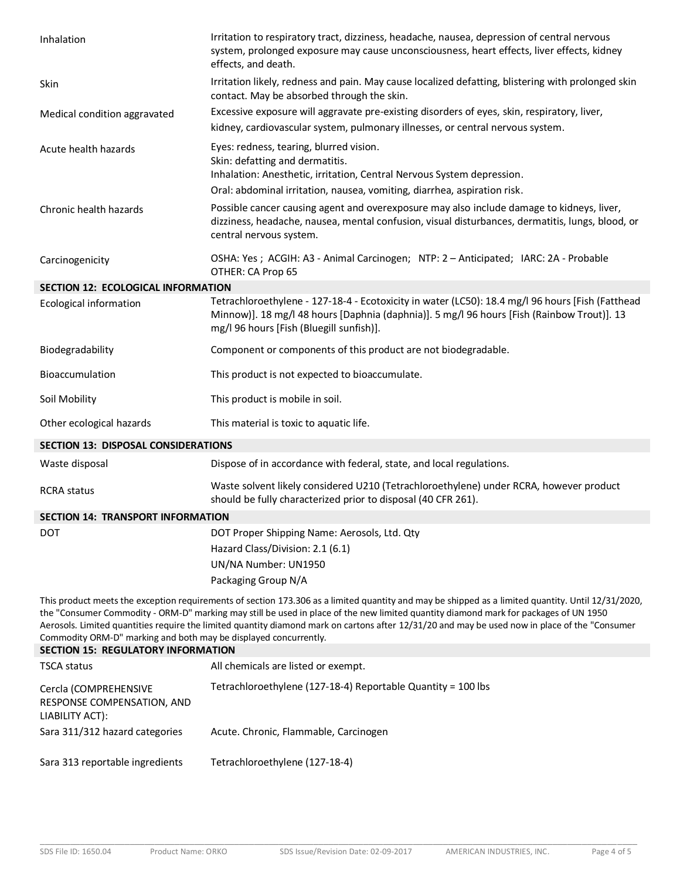| Inhalation                                                                                                                                                                                                                                                                                                                                                                                                                                                                                                                                                    | Irritation to respiratory tract, dizziness, headache, nausea, depression of central nervous<br>system, prolonged exposure may cause unconsciousness, heart effects, liver effects, kidney<br>effects, and death.                                                                                     |  |
|---------------------------------------------------------------------------------------------------------------------------------------------------------------------------------------------------------------------------------------------------------------------------------------------------------------------------------------------------------------------------------------------------------------------------------------------------------------------------------------------------------------------------------------------------------------|------------------------------------------------------------------------------------------------------------------------------------------------------------------------------------------------------------------------------------------------------------------------------------------------------|--|
| Skin                                                                                                                                                                                                                                                                                                                                                                                                                                                                                                                                                          | Irritation likely, redness and pain. May cause localized defatting, blistering with prolonged skin<br>contact. May be absorbed through the skin.                                                                                                                                                     |  |
| Medical condition aggravated                                                                                                                                                                                                                                                                                                                                                                                                                                                                                                                                  | Excessive exposure will aggravate pre-existing disorders of eyes, skin, respiratory, liver,<br>kidney, cardiovascular system, pulmonary illnesses, or central nervous system.                                                                                                                        |  |
| Acute health hazards                                                                                                                                                                                                                                                                                                                                                                                                                                                                                                                                          | Eyes: redness, tearing, blurred vision.<br>Skin: defatting and dermatitis.<br>Inhalation: Anesthetic, irritation, Central Nervous System depression.                                                                                                                                                 |  |
| Chronic health hazards                                                                                                                                                                                                                                                                                                                                                                                                                                                                                                                                        | Oral: abdominal irritation, nausea, vomiting, diarrhea, aspiration risk.<br>Possible cancer causing agent and overexposure may also include damage to kidneys, liver,<br>dizziness, headache, nausea, mental confusion, visual disturbances, dermatitis, lungs, blood, or<br>central nervous system. |  |
| Carcinogenicity                                                                                                                                                                                                                                                                                                                                                                                                                                                                                                                                               | OSHA: Yes ; ACGIH: A3 - Animal Carcinogen; NTP: 2 - Anticipated; IARC: 2A - Probable<br>OTHER: CA Prop 65                                                                                                                                                                                            |  |
| <b>SECTION 12: ECOLOGICAL INFORMATION</b>                                                                                                                                                                                                                                                                                                                                                                                                                                                                                                                     |                                                                                                                                                                                                                                                                                                      |  |
| <b>Ecological information</b>                                                                                                                                                                                                                                                                                                                                                                                                                                                                                                                                 | Tetrachloroethylene - 127-18-4 - Ecotoxicity in water (LC50): 18.4 mg/l 96 hours [Fish (Fatthead<br>Minnow)]. 18 mg/l 48 hours [Daphnia (daphnia)]. 5 mg/l 96 hours [Fish (Rainbow Trout)]. 13<br>mg/l 96 hours [Fish (Bluegill sunfish)].                                                           |  |
| Biodegradability                                                                                                                                                                                                                                                                                                                                                                                                                                                                                                                                              | Component or components of this product are not biodegradable.                                                                                                                                                                                                                                       |  |
| Bioaccumulation                                                                                                                                                                                                                                                                                                                                                                                                                                                                                                                                               | This product is not expected to bioaccumulate.                                                                                                                                                                                                                                                       |  |
| Soil Mobility                                                                                                                                                                                                                                                                                                                                                                                                                                                                                                                                                 | This product is mobile in soil.                                                                                                                                                                                                                                                                      |  |
| Other ecological hazards                                                                                                                                                                                                                                                                                                                                                                                                                                                                                                                                      | This material is toxic to aquatic life.                                                                                                                                                                                                                                                              |  |
| <b>SECTION 13: DISPOSAL CONSIDERATIONS</b>                                                                                                                                                                                                                                                                                                                                                                                                                                                                                                                    |                                                                                                                                                                                                                                                                                                      |  |
| Waste disposal                                                                                                                                                                                                                                                                                                                                                                                                                                                                                                                                                | Dispose of in accordance with federal, state, and local regulations.                                                                                                                                                                                                                                 |  |
| <b>RCRA</b> status                                                                                                                                                                                                                                                                                                                                                                                                                                                                                                                                            | Waste solvent likely considered U210 (Tetrachloroethylene) under RCRA, however product<br>should be fully characterized prior to disposal (40 CFR 261).                                                                                                                                              |  |
| <b>SECTION 14: TRANSPORT INFORMATION</b>                                                                                                                                                                                                                                                                                                                                                                                                                                                                                                                      |                                                                                                                                                                                                                                                                                                      |  |
| DOT                                                                                                                                                                                                                                                                                                                                                                                                                                                                                                                                                           | DOT Proper Shipping Name: Aerosols, Ltd. Qty                                                                                                                                                                                                                                                         |  |
|                                                                                                                                                                                                                                                                                                                                                                                                                                                                                                                                                               | Hazard Class/Division: 2.1 (6.1)                                                                                                                                                                                                                                                                     |  |
|                                                                                                                                                                                                                                                                                                                                                                                                                                                                                                                                                               | UN/NA Number: UN1950                                                                                                                                                                                                                                                                                 |  |
|                                                                                                                                                                                                                                                                                                                                                                                                                                                                                                                                                               | Packaging Group N/A                                                                                                                                                                                                                                                                                  |  |
| This product meets the exception requirements of section 173.306 as a limited quantity and may be shipped as a limited quantity. Until 12/31/2020,<br>the "Consumer Commodity - ORM-D" marking may still be used in place of the new limited quantity diamond mark for packages of UN 1950<br>Aerosols. Limited quantities require the limited quantity diamond mark on cartons after 12/31/20 and may be used now in place of the "Consumer<br>Commodity ORM-D" marking and both may be displayed concurrently.<br><b>SECTION 15: REGULATORY INFORMATION</b> |                                                                                                                                                                                                                                                                                                      |  |
| <b>TSCA status</b>                                                                                                                                                                                                                                                                                                                                                                                                                                                                                                                                            | All chemicals are listed or exempt.                                                                                                                                                                                                                                                                  |  |
|                                                                                                                                                                                                                                                                                                                                                                                                                                                                                                                                                               |                                                                                                                                                                                                                                                                                                      |  |
| Cercla (COMPREHENSIVE<br>RESPONSE COMPENSATION, AND<br>LIABILITY ACT):                                                                                                                                                                                                                                                                                                                                                                                                                                                                                        | Tetrachloroethylene (127-18-4) Reportable Quantity = 100 lbs                                                                                                                                                                                                                                         |  |

Sara 311/312 hazard categories Acute. Chronic, Flammable, Carcinogen

Sara 313 reportable ingredients Tetrachloroethylene (127-18-4)